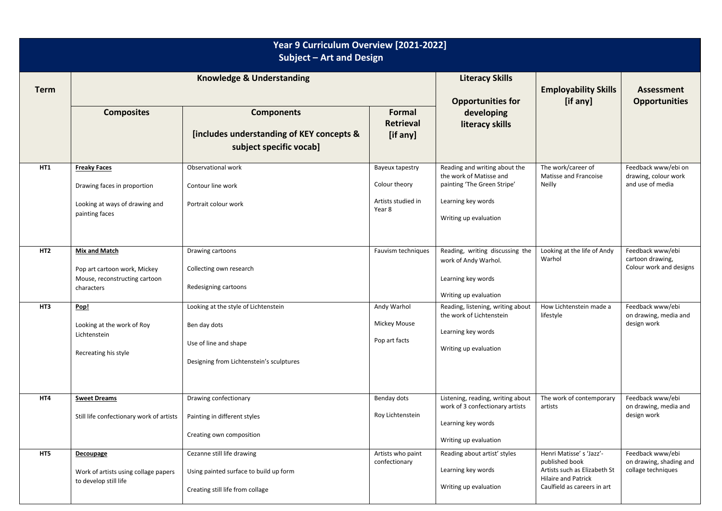| Year 9 Curriculum Overview [2021-2022]<br>Subject - Art and Design |                                                                                                        |                                                                                                                           |                                                                  |                                                                                                                                        |                                                                                                                                        |                                                                   |  |  |  |  |
|--------------------------------------------------------------------|--------------------------------------------------------------------------------------------------------|---------------------------------------------------------------------------------------------------------------------------|------------------------------------------------------------------|----------------------------------------------------------------------------------------------------------------------------------------|----------------------------------------------------------------------------------------------------------------------------------------|-------------------------------------------------------------------|--|--|--|--|
| <b>Term</b>                                                        | <b>Knowledge &amp; Understanding</b>                                                                   |                                                                                                                           |                                                                  | <b>Literacy Skills</b><br><b>Opportunities for</b>                                                                                     | <b>Employability Skills</b><br>[if any]                                                                                                | <b>Assessment</b><br><b>Opportunities</b>                         |  |  |  |  |
|                                                                    | <b>Composites</b>                                                                                      | <b>Components</b><br>[includes understanding of KEY concepts &<br>subject specific vocab]                                 | Formal<br><b>Retrieval</b><br>[if any]                           | developing<br>literacy skills                                                                                                          |                                                                                                                                        |                                                                   |  |  |  |  |
| HT1                                                                | <b>Freaky Faces</b><br>Drawing faces in proportion<br>Looking at ways of drawing and<br>painting faces | Observational work<br>Contour line work<br>Portrait colour work                                                           | Bayeux tapestry<br>Colour theory<br>Artists studied in<br>Year 8 | Reading and writing about the<br>the work of Matisse and<br>painting 'The Green Stripe'<br>Learning key words<br>Writing up evaluation | The work/career of<br>Matisse and Francoise<br>Neilly                                                                                  | Feedback www/ebi on<br>drawing, colour work<br>and use of media   |  |  |  |  |
| HT <sub>2</sub>                                                    | <b>Mix and Match</b><br>Pop art cartoon work, Mickey<br>Mouse, reconstructing cartoon<br>characters    | Drawing cartoons<br>Collecting own research<br>Redesigning cartoons                                                       | Fauvism techniques                                               | Reading, writing discussing the<br>work of Andy Warhol.<br>Learning key words<br>Writing up evaluation                                 | Looking at the life of Andy<br>Warhol                                                                                                  | Feedback www/ebi<br>cartoon drawing,<br>Colour work and designs   |  |  |  |  |
| HT3                                                                | Pop!<br>Looking at the work of Roy<br>Lichtenstein<br>Recreating his style                             | Looking at the style of Lichtenstein<br>Ben day dots<br>Use of line and shape<br>Designing from Lichtenstein's sculptures | Andy Warhol<br>Mickey Mouse<br>Pop art facts                     | Reading, listening, writing about<br>the work of Lichtenstein<br>Learning key words<br>Writing up evaluation                           | How Lichtenstein made a<br>lifestyle                                                                                                   | Feedback www/ebi<br>on drawing, media and<br>design work          |  |  |  |  |
| HT4                                                                | <b>Sweet Dreams</b><br>Still life confectionary work of artists                                        | Drawing confectionary<br>Painting in different styles<br>Creating own composition                                         | Benday dots<br>Roy Lichtenstein                                  | Listening, reading, writing about<br>work of 3 confectionary artists<br>Learning key words<br>Writing up evaluation                    | The work of contemporary<br>artists                                                                                                    | Feedback www/ebi<br>on drawing, media and<br>design work          |  |  |  |  |
| HT5                                                                | Decoupage<br>Work of artists using collage papers<br>to develop still life                             | Cezanne still life drawing<br>Using painted surface to build up form<br>Creating still life from collage                  | Artists who paint<br>confectionary                               | Reading about artist' styles<br>Learning key words<br>Writing up evaluation                                                            | Henri Matisse's 'Jazz'-<br>published book<br>Artists such as Elizabeth St<br><b>Hilaire and Patrick</b><br>Caulfield as careers in art | Feedback www/ebi<br>on drawing, shading and<br>collage techniques |  |  |  |  |